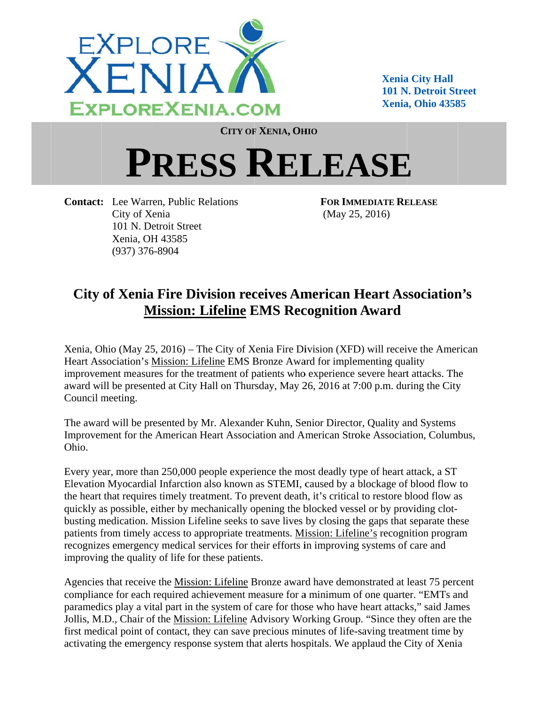

**Xenia City Hall 101 N. Detroit Street Xenia, Ohio 43585** 

**CITY OF XENIA, OHIO** 

## PRESS RELEASE

**Contact:** Lee Warren, Public Relations City of Xenia 101 N. Detroit Street Xenia, OH 43585  $(937)$  376-8904

**FOR IMMEDIATE RELEASE**  $(May 25, 2016)$ 

## **City of Xenia Fire Division receives American Heart Association's Mission: Lifeline EMS Recognition Award**

Xenia, Ohio (May 25, 2016) – The City of Xenia Fire Division (XFD) will receive the American Heart Association's Mission: Lifeline EMS Bronze Award for implementing quality improvement measures for the treatment of patients who experience severe heart attacks. The award will be presented at City Hall on Thursday, May 26, 2016 at 7:00 p.m. during the City Council meeting.

The award will be presented by Mr. Alexander Kuhn, Senior Director, Quality and Systems Improvement for the American Heart Association and American Stroke Association, Columbus, Ohio.

Every year, more than 250,000 people experience the most deadly type of heart attack, a ST Elevation Myocardial Infarction also known as STEMI, caused by a blockage of blood flow to the heart that requires timely treatment. To prevent death, it's critical to restore blood flow as quickly as possible, either by mechanically opening the blocked vessel or by providing clotbusting medication. Mission Lifeline seeks to save lives by closing the gaps that separate these patients from timely access to appropriate treatments. Mission: Lifeline's recognition program recognizes emergency medical services for their efforts in improving systems of care and improving the quality of life for these patients.

Agencies that receive the Mission: Lifeline Bronze award have demonstrated at least 75 percent compliance for each required achievement measure for a minimum of one quarter. "EMTs and paramedics play a vital part in the system of care for those who have heart attacks," said James Jollis, M.D., Chair of the Mission: Lifeline Advisory Working Group. "Since they often are the first medical point of contact, they can save precious minutes of life-saving treatment time by activating the emergency response system that alerts hospitals. We applaud the City of Xenia